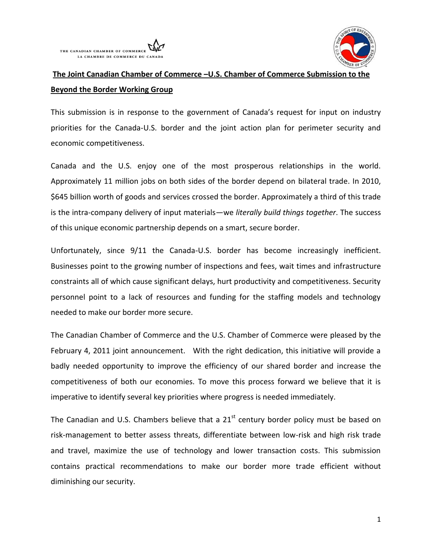



# **The Joint Canadian Chamber of Commerce –U.S. Chamber of Commerce Submission to the Beyond the Border Working Group**

This submission is in response to the government of Canada's request for input on industry priorities for the Canada-U.S. border and the joint action plan for perimeter security and economic competitiveness.

Canada and the U.S. enjoy one of the most prosperous relationships in the world. Approximately 11 million jobs on both sides of the border depend on bilateral trade. In 2010, \$645 billion worth of goods and services crossed the border. Approximately a third of this trade is the intra-company delivery of input materials—we *literally build things together*. The success of this unique economic partnership depends on a smart, secure border.

Unfortunately, since 9/11 the Canada-U.S. border has become increasingly inefficient. Businesses point to the growing number of inspections and fees, wait times and infrastructure constraints all of which cause significant delays, hurt productivity and competitiveness. Security personnel point to a lack of resources and funding for the staffing models and technology needed to make our border more secure.

The Canadian Chamber of Commerce and the U.S. Chamber of Commerce were pleased by the February 4, 2011 joint announcement. With the right dedication, this initiative will provide a badly needed opportunity to improve the efficiency of our shared border and increase the competitiveness of both our economies. To move this process forward we believe that it is imperative to identify several key priorities where progress is needed immediately.

The Canadian and U.S. Chambers believe that a  $21<sup>st</sup>$  century border policy must be based on risk-management to better assess threats, differentiate between low-risk and high risk trade and travel, maximize the use of technology and lower transaction costs. This submission contains practical recommendations to make our border more trade efficient without diminishing our security.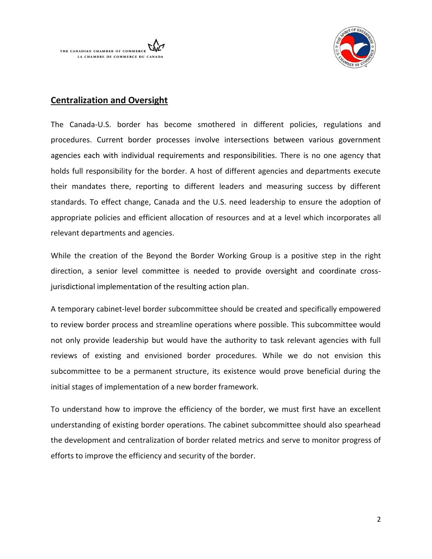



# **Centralization and Oversight**

The Canada-U.S. border has become smothered in different policies, regulations and procedures. Current border processes involve intersections between various government agencies each with individual requirements and responsibilities. There is no one agency that holds full responsibility for the border. A host of different agencies and departments execute their mandates there, reporting to different leaders and measuring success by different standards. To effect change, Canada and the U.S. need leadership to ensure the adoption of appropriate policies and efficient allocation of resources and at a level which incorporates all relevant departments and agencies.

While the creation of the Beyond the Border Working Group is a positive step in the right direction, a senior level committee is needed to provide oversight and coordinate crossjurisdictional implementation of the resulting action plan.

A temporary cabinet-level border subcommittee should be created and specifically empowered to review border process and streamline operations where possible. This subcommittee would not only provide leadership but would have the authority to task relevant agencies with full reviews of existing and envisioned border procedures. While we do not envision this subcommittee to be a permanent structure, its existence would prove beneficial during the initial stages of implementation of a new border framework.

To understand how to improve the efficiency of the border, we must first have an excellent understanding of existing border operations. The cabinet subcommittee should also spearhead the development and centralization of border related metrics and serve to monitor progress of efforts to improve the efficiency and security of the border.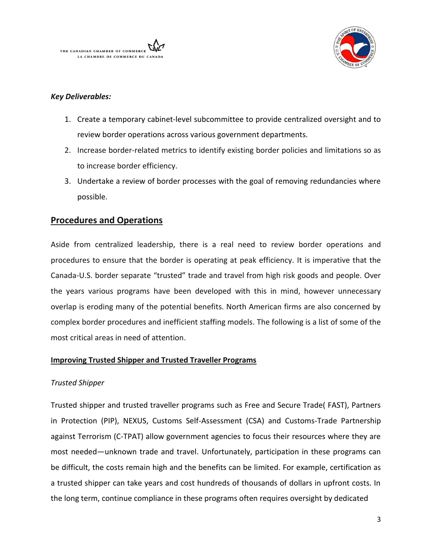



# *Key Deliverables:*

- 1. Create a temporary cabinet-level subcommittee to provide centralized oversight and to review border operations across various government departments.
- 2. Increase border-related metrics to identify existing border policies and limitations so as to increase border efficiency.
- 3. Undertake a review of border processes with the goal of removing redundancies where possible.

# **Procedures and Operations**

Aside from centralized leadership, there is a real need to review border operations and procedures to ensure that the border is operating at peak efficiency. It is imperative that the Canada-U.S. border separate "trusted" trade and travel from high risk goods and people. Over the years various programs have been developed with this in mind, however unnecessary overlap is eroding many of the potential benefits. North American firms are also concerned by complex border procedures and inefficient staffing models. The following is a list of some of the most critical areas in need of attention.

# **Improving Trusted Shipper and Trusted Traveller Programs**

# *Trusted Shipper*

Trusted shipper and trusted traveller programs such as Free and Secure Trade( FAST), Partners in Protection (PIP), NEXUS, Customs Self-Assessment (CSA) and Customs-Trade Partnership against Terrorism (C-TPAT) allow government agencies to focus their resources where they are most needed—unknown trade and travel. Unfortunately, participation in these programs can be difficult, the costs remain high and the benefits can be limited. For example, certification as a trusted shipper can take years and cost hundreds of thousands of dollars in upfront costs. In the long term, continue compliance in these programs often requires oversight by dedicated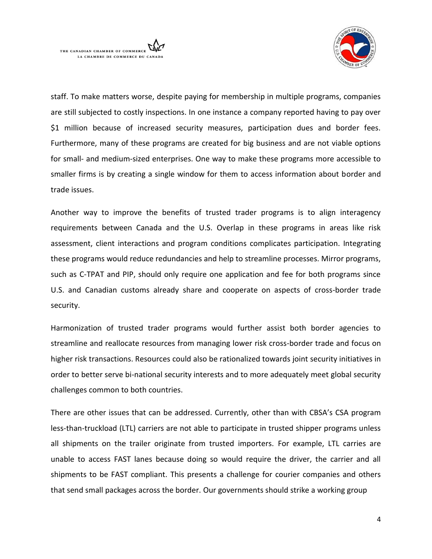



staff. To make matters worse, despite paying for membership in multiple programs, companies are still subjected to costly inspections. In one instance a company reported having to pay over \$1 million because of increased security measures, participation dues and border fees. Furthermore, many of these programs are created for big business and are not viable options for small- and medium-sized enterprises. One way to make these programs more accessible to smaller firms is by creating a single window for them to access information about border and trade issues.

Another way to improve the benefits of trusted trader programs is to align interagency requirements between Canada and the U.S. Overlap in these programs in areas like risk assessment, client interactions and program conditions complicates participation. Integrating these programs would reduce redundancies and help to streamline processes. Mirror programs, such as C-TPAT and PIP, should only require one application and fee for both programs since U.S. and Canadian customs already share and cooperate on aspects of cross-border trade security.

Harmonization of trusted trader programs would further assist both border agencies to streamline and reallocate resources from managing lower risk cross-border trade and focus on higher risk transactions. Resources could also be rationalized towards joint security initiatives in order to better serve bi-national security interests and to more adequately meet global security challenges common to both countries.

There are other issues that can be addressed. Currently, other than with CBSA's CSA program less-than-truckload (LTL) carriers are not able to participate in trusted shipper programs unless all shipments on the trailer originate from trusted importers. For example, LTL carries are unable to access FAST lanes because doing so would require the driver, the carrier and all shipments to be FAST compliant. This presents a challenge for courier companies and others that send small packages across the border. Our governments should strike a working group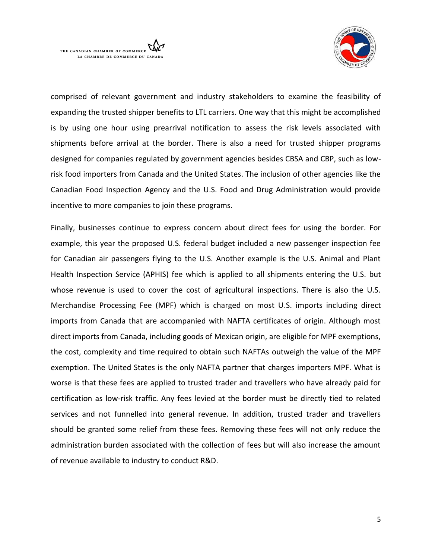



comprised of relevant government and industry stakeholders to examine the feasibility of expanding the trusted shipper benefits to LTL carriers. One way that this might be accomplished is by using one hour using prearrival notification to assess the risk levels associated with shipments before arrival at the border. There is also a need for trusted shipper programs designed for companies regulated by government agencies besides CBSA and CBP, such as lowrisk food importers from Canada and the United States. The inclusion of other agencies like the Canadian Food Inspection Agency and the U.S. Food and Drug Administration would provide incentive to more companies to join these programs.

Finally, businesses continue to express concern about direct fees for using the border. For example, this year the proposed U.S. federal budget included a new passenger inspection fee for Canadian air passengers flying to the U.S. Another example is the U.S. Animal and Plant Health Inspection Service (APHIS) fee which is applied to all shipments entering the U.S. but whose revenue is used to cover the cost of agricultural inspections. There is also the U.S. Merchandise Processing Fee (MPF) which is charged on most U.S. imports including direct imports from Canada that are accompanied with NAFTA certificates of origin. Although most direct imports from Canada, including goods of Mexican origin, are eligible for MPF exemptions, the cost, complexity and time required to obtain such NAFTAs outweigh the value of the MPF exemption. The United States is the only NAFTA partner that charges importers MPF. What is worse is that these fees are applied to trusted trader and travellers who have already paid for certification as low-risk traffic. Any fees levied at the border must be directly tied to related services and not funnelled into general revenue. In addition, trusted trader and travellers should be granted some relief from these fees. Removing these fees will not only reduce the administration burden associated with the collection of fees but will also increase the amount of revenue available to industry to conduct R&D.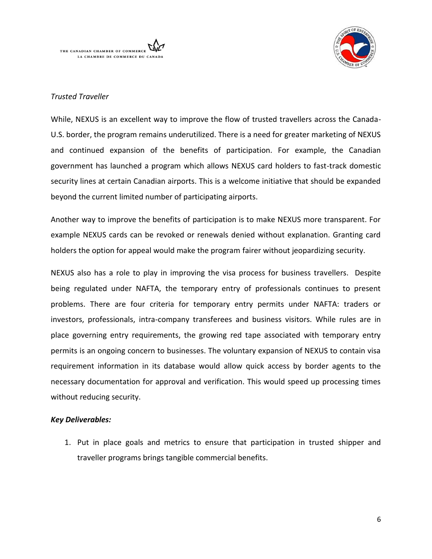



# *Trusted Traveller*

While, NEXUS is an excellent way to improve the flow of trusted travellers across the Canada-U.S. border, the program remains underutilized. There is a need for greater marketing of NEXUS and continued expansion of the benefits of participation. For example, the Canadian government has launched a program which allows NEXUS card holders to fast-track domestic security lines at certain Canadian airports. This is a welcome initiative that should be expanded beyond the current limited number of participating airports.

Another way to improve the benefits of participation is to make NEXUS more transparent. For example NEXUS cards can be revoked or renewals denied without explanation. Granting card holders the option for appeal would make the program fairer without jeopardizing security.

NEXUS also has a role to play in improving the visa process for business travellers. Despite being regulated under NAFTA, the temporary entry of professionals continues to present problems. There are four criteria for temporary entry permits under NAFTA: traders or investors, professionals, intra-company transferees and business visitors. While rules are in place governing entry requirements, the growing red tape associated with temporary entry permits is an ongoing concern to businesses. The voluntary expansion of NEXUS to contain visa requirement information in its database would allow quick access by border agents to the necessary documentation for approval and verification. This would speed up processing times without reducing security.

# *Key Deliverables:*

1. Put in place goals and metrics to ensure that participation in trusted shipper and traveller programs brings tangible commercial benefits.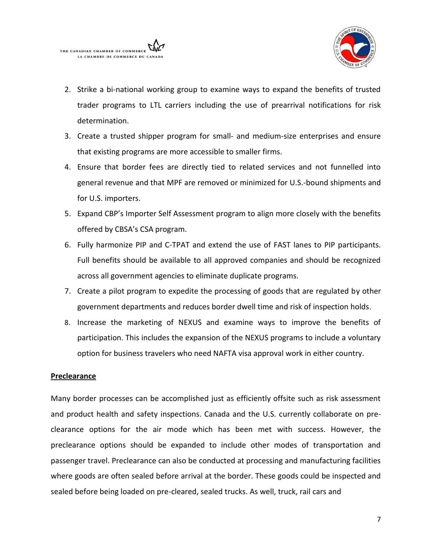



- 2. Strike a bi-national working group to examine ways to expand the benefits of trusted trader programs to LTL carriers including the use of prearrival notifications for risk determination.
- 3. Create a trusted shipper program for small- and medium-size enterprises and ensure that existing programs are more accessible to smaller firms.
- 4. Ensure that border fees are directly tied to related services and not funnelled into general revenue and that MPF are removed or minimized for U.S.-bound shipments and for U.S. importers.
- 5. Expand CBP's Importer Self Assessment program to align more closely with the benefits offered by CBSA's CSA program.
- 6. Fully harmonize PIP and C-TPAT and extend the use of FAST lanes to PIP participants. Full benefits should be available to all approved companies and should be recognized across all government agencies to eliminate duplicate programs.
- 7. Create a pilot program to expedite the processing of goods that are regulated by other government departments and reduces border dwell time and risk of inspection holds.
- 8. Increase the marketing of NEXUS and examine ways to improve the benefits of participation. This includes the expansion of the NEXUS programs to include a voluntary option for business travelers who need NAFTA visa approval work in either country.

# **Preclearance**

Many border processes can be accomplished just as efficiently offsite such as risk assessment and product health and safety inspections. Canada and the U.S. currently collaborate on preclearance options for the air mode which has been met with success. However, the preclearance options should be expanded to include other modes of transportation and passenger travel. Preclearance can also be conducted at processing and manufacturing facilities where goods are often sealed before arrival at the border. These goods could be inspected and sealed before being loaded on pre-cleared, sealed trucks. As well, truck, rail cars and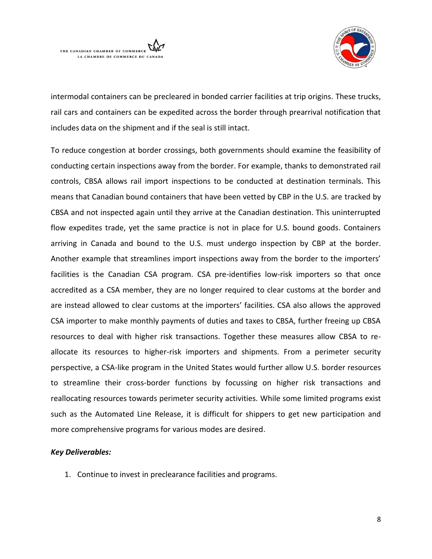



intermodal containers can be precleared in bonded carrier facilities at trip origins. These trucks, rail cars and containers can be expedited across the border through prearrival notification that includes data on the shipment and if the seal is still intact.

To reduce congestion at border crossings, both governments should examine the feasibility of conducting certain inspections away from the border. For example, thanks to demonstrated rail controls, CBSA allows rail import inspections to be conducted at destination terminals. This means that Canadian bound containers that have been vetted by CBP in the U.S. are tracked by CBSA and not inspected again until they arrive at the Canadian destination. This uninterrupted flow expedites trade, yet the same practice is not in place for U.S. bound goods. Containers arriving in Canada and bound to the U.S. must undergo inspection by CBP at the border. Another example that streamlines import inspections away from the border to the importers' facilities is the Canadian CSA program. CSA pre-identifies low-risk importers so that once accredited as a CSA member, they are no longer required to clear customs at the border and are instead allowed to clear customs at the importers' facilities. CSA also allows the approved CSA importer to make monthly payments of duties and taxes to CBSA, further freeing up CBSA resources to deal with higher risk transactions. Together these measures allow CBSA to reallocate its resources to higher-risk importers and shipments. From a perimeter security perspective, a CSA-like program in the United States would further allow U.S. border resources to streamline their cross-border functions by focussing on higher risk transactions and reallocating resources towards perimeter security activities*.* While some limited programs exist such as the Automated Line Release, it is difficult for shippers to get new participation and more comprehensive programs for various modes are desired.

# *Key Deliverables:*

1. Continue to invest in preclearance facilities and programs.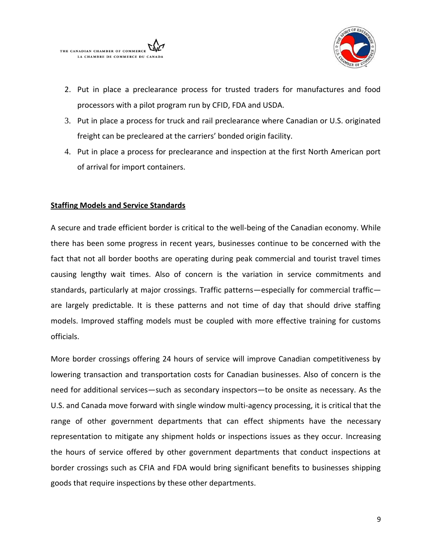



- 2. Put in place a preclearance process for trusted traders for manufactures and food processors with a pilot program run by CFID, FDA and USDA.
- 3. Put in place a process for truck and rail preclearance where Canadian or U.S. originated freight can be precleared at the carriers' bonded origin facility.
- 4. Put in place a process for preclearance and inspection at the first North American port of arrival for import containers.

# **Staffing Models and Service Standards**

A secure and trade efficient border is critical to the well-being of the Canadian economy. While there has been some progress in recent years, businesses continue to be concerned with the fact that not all border booths are operating during peak commercial and tourist travel times causing lengthy wait times. Also of concern is the variation in service commitments and standards, particularly at major crossings. Traffic patterns—especially for commercial traffic are largely predictable. It is these patterns and not time of day that should drive staffing models. Improved staffing models must be coupled with more effective training for customs officials.

More border crossings offering 24 hours of service will improve Canadian competitiveness by lowering transaction and transportation costs for Canadian businesses. Also of concern is the need for additional services—such as secondary inspectors—to be onsite as necessary. As the U.S. and Canada move forward with single window multi-agency processing, it is critical that the range of other government departments that can effect shipments have the necessary representation to mitigate any shipment holds or inspections issues as they occur. Increasing the hours of service offered by other government departments that conduct inspections at border crossings such as CFIA and FDA would bring significant benefits to businesses shipping goods that require inspections by these other departments.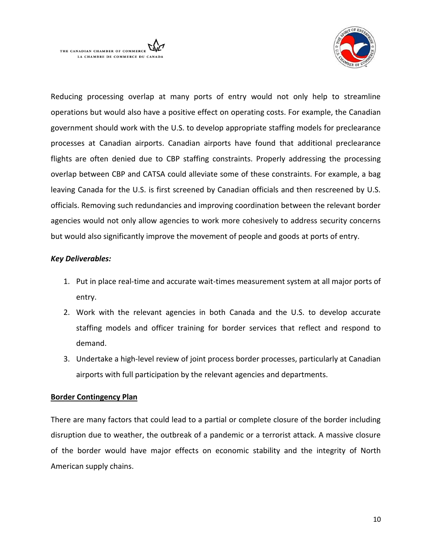



Reducing processing overlap at many ports of entry would not only help to streamline operations but would also have a positive effect on operating costs. For example, the Canadian government should work with the U.S. to develop appropriate staffing models for preclearance processes at Canadian airports. Canadian airports have found that additional preclearance flights are often denied due to CBP staffing constraints. Properly addressing the processing overlap between CBP and CATSA could alleviate some of these constraints. For example, a bag leaving Canada for the U.S. is first screened by Canadian officials and then rescreened by U.S. officials. Removing such redundancies and improving coordination between the relevant border agencies would not only allow agencies to work more cohesively to address security concerns but would also significantly improve the movement of people and goods at ports of entry.

# *Key Deliverables:*

- 1. Put in place real-time and accurate wait-times measurement system at all major ports of entry.
- 2. Work with the relevant agencies in both Canada and the U.S. to develop accurate staffing models and officer training for border services that reflect and respond to demand.
- 3. Undertake a high-level review of joint process border processes, particularly at Canadian airports with full participation by the relevant agencies and departments.

# **Border Contingency Plan**

There are many factors that could lead to a partial or complete closure of the border including disruption due to weather, the outbreak of a pandemic or a terrorist attack. A massive closure of the border would have major effects on economic stability and the integrity of North American supply chains.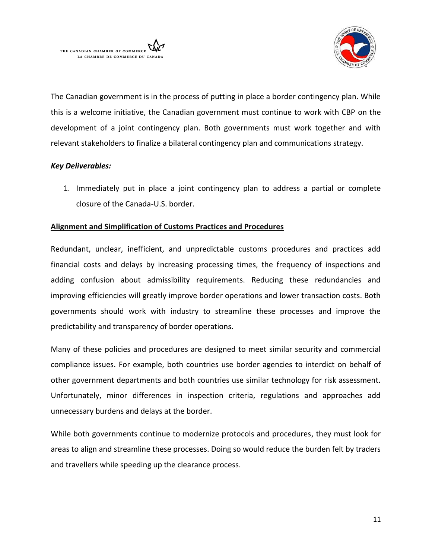



The Canadian government is in the process of putting in place a border contingency plan. While this is a welcome initiative, the Canadian government must continue to work with CBP on the development of a joint contingency plan. Both governments must work together and with relevant stakeholders to finalize a bilateral contingency plan and communications strategy.

# *Key Deliverables:*

1. Immediately put in place a joint contingency plan to address a partial or complete closure of the Canada-U.S. border.

# **Alignment and Simplification of Customs Practices and Procedures**

Redundant, unclear, inefficient, and unpredictable customs procedures and practices add financial costs and delays by increasing processing times, the frequency of inspections and adding confusion about admissibility requirements. Reducing these redundancies and improving efficiencies will greatly improve border operations and lower transaction costs. Both governments should work with industry to streamline these processes and improve the predictability and transparency of border operations.

Many of these policies and procedures are designed to meet similar security and commercial compliance issues. For example, both countries use border agencies to interdict on behalf of other government departments and both countries use similar technology for risk assessment. Unfortunately, minor differences in inspection criteria, regulations and approaches add unnecessary burdens and delays at the border.

While both governments continue to modernize protocols and procedures, they must look for areas to align and streamline these processes. Doing so would reduce the burden felt by traders and travellers while speeding up the clearance process.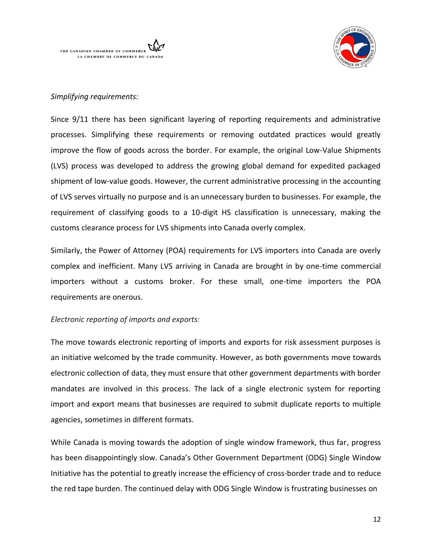



# *Simplifying requirements:*

Since 9/11 there has been significant layering of reporting requirements and administrative processes. Simplifying these requirements or removing outdated practices would greatly improve the flow of goods across the border. For example, the original Low-Value Shipments (LVS) process was developed to address the growing global demand for expedited packaged shipment of low-value goods. However, the current administrative processing in the accounting of LVS serves virtually no purpose and is an unnecessary burden to businesses. For example, the requirement of classifying goods to a 10-digit HS classification is unnecessary, making the customs clearance process for LVS shipments into Canada overly complex.

Similarly, the Power of Attorney (POA) requirements for LVS importers into Canada are overly complex and inefficient. Many LVS arriving in Canada are brought in by one-time commercial importers without a customs broker. For these small, one-time importers the POA requirements are onerous.

# *Electronic reporting of imports and exports:*

The move towards electronic reporting of imports and exports for risk assessment purposes is an initiative welcomed by the trade community. However, as both governments move towards electronic collection of data, they must ensure that other government departments with border mandates are involved in this process. The lack of a single electronic system for reporting import and export means that businesses are required to submit duplicate reports to multiple agencies, sometimes in different formats.

While Canada is moving towards the adoption of single window framework, thus far, progress has been disappointingly slow. Canada's Other Government Department (ODG) Single Window Initiative has the potential to greatly increase the efficiency of cross-border trade and to reduce the red tape burden. The continued delay with ODG Single Window is frustrating businesses on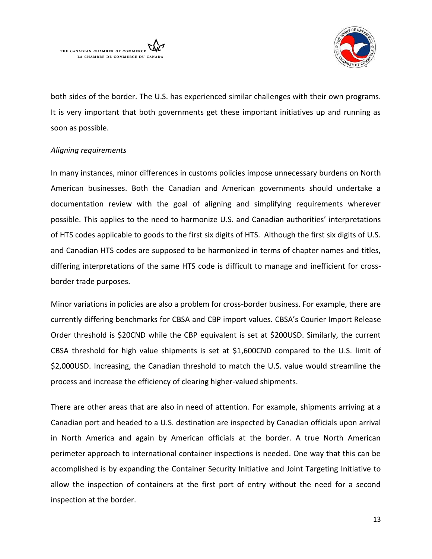



both sides of the border. The U.S. has experienced similar challenges with their own programs. It is very important that both governments get these important initiatives up and running as soon as possible.

# *Aligning requirements*

In many instances, minor differences in customs policies impose unnecessary burdens on North American businesses. Both the Canadian and American governments should undertake a documentation review with the goal of aligning and simplifying requirements wherever possible. This applies to the need to harmonize U.S. and Canadian authorities' interpretations of HTS codes applicable to goods to the first six digits of HTS. Although the first six digits of U.S. and Canadian HTS codes are supposed to be harmonized in terms of chapter names and titles, differing interpretations of the same HTS code is difficult to manage and inefficient for crossborder trade purposes.

Minor variations in policies are also a problem for cross-border business. For example, there are currently differing benchmarks for CBSA and CBP import values. CBSA's Courier Import Release Order threshold is \$20CND while the CBP equivalent is set at \$200USD. Similarly, the current CBSA threshold for high value shipments is set at \$1,600CND compared to the U.S. limit of \$2,000USD. Increasing, the Canadian threshold to match the U.S. value would streamline the process and increase the efficiency of clearing higher-valued shipments.

There are other areas that are also in need of attention. For example, shipments arriving at a Canadian port and headed to a U.S. destination are inspected by Canadian officials upon arrival in North America and again by American officials at the border. A true North American perimeter approach to international container inspections is needed. One way that this can be accomplished is by expanding the Container Security Initiative and Joint Targeting Initiative to allow the inspection of containers at the first port of entry without the need for a second inspection at the border.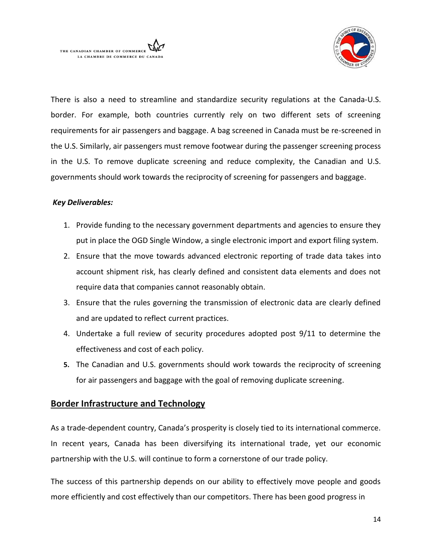

There is also a need to streamline and standardize security regulations at the Canada-U.S. border. For example, both countries currently rely on two different sets of screening requirements for air passengers and baggage. A bag screened in Canada must be re-screened in the U.S. Similarly, air passengers must remove footwear during the passenger screening process in the U.S. To remove duplicate screening and reduce complexity, the Canadian and U.S. governments should work towards the reciprocity of screening for passengers and baggage.

#### *Key Deliverables:*

- 1. Provide funding to the necessary government departments and agencies to ensure they put in place the OGD Single Window, a single electronic import and export filing system.
- 2. Ensure that the move towards advanced electronic reporting of trade data takes into account shipment risk, has clearly defined and consistent data elements and does not require data that companies cannot reasonably obtain.
- 3. Ensure that the rules governing the transmission of electronic data are clearly defined and are updated to reflect current practices.
- 4. Undertake a full review of security procedures adopted post 9/11 to determine the effectiveness and cost of each policy.
- **5.** The Canadian and U.S. governments should work towards the reciprocity of screening for air passengers and baggage with the goal of removing duplicate screening.

# **Border Infrastructure and Technology**

As a trade-dependent country, Canada's prosperity is closely tied to its international commerce. In recent years, Canada has been diversifying its international trade, yet our economic partnership with the U.S. will continue to form a cornerstone of our trade policy.

The success of this partnership depends on our ability to effectively move people and goods more efficiently and cost effectively than our competitors. There has been good progress in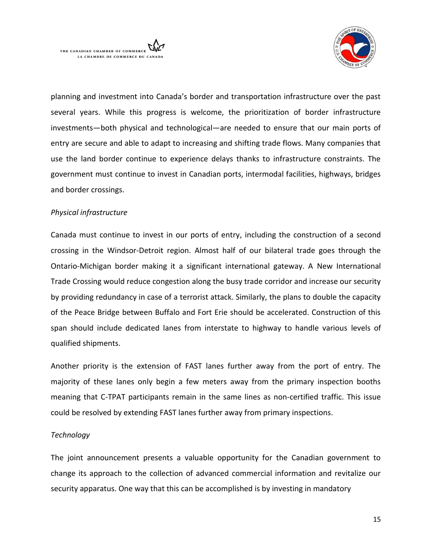



planning and investment into Canada's border and transportation infrastructure over the past several years. While this progress is welcome, the prioritization of border infrastructure investments—both physical and technological—are needed to ensure that our main ports of entry are secure and able to adapt to increasing and shifting trade flows. Many companies that use the land border continue to experience delays thanks to infrastructure constraints. The government must continue to invest in Canadian ports, intermodal facilities, highways, bridges and border crossings.

# *Physical infrastructure*

Canada must continue to invest in our ports of entry, including the construction of a second crossing in the Windsor-Detroit region. Almost half of our bilateral trade goes through the Ontario-Michigan border making it a significant international gateway. A New International Trade Crossing would reduce congestion along the busy trade corridor and increase our security by providing redundancy in case of a terrorist attack. Similarly, the plans to double the capacity of the Peace Bridge between Buffalo and Fort Erie should be accelerated. Construction of this span should include dedicated lanes from interstate to highway to handle various levels of qualified shipments.

Another priority is the extension of FAST lanes further away from the port of entry. The majority of these lanes only begin a few meters away from the primary inspection booths meaning that C-TPAT participants remain in the same lines as non-certified traffic. This issue could be resolved by extending FAST lanes further away from primary inspections.

# *Technology*

The joint announcement presents a valuable opportunity for the Canadian government to change its approach to the collection of advanced commercial information and revitalize our security apparatus. One way that this can be accomplished is by investing in mandatory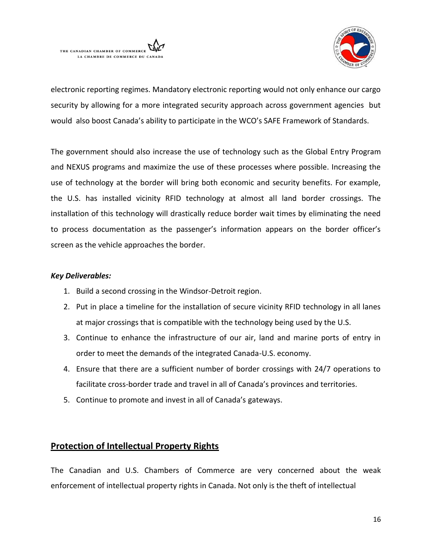



electronic reporting regimes. Mandatory electronic reporting would not only enhance our cargo security by allowing for a more integrated security approach across government agencies but would also boost Canada's ability to participate in the WCO's SAFE Framework of Standards.

The government should also increase the use of technology such as the Global Entry Program and NEXUS programs and maximize the use of these processes where possible. Increasing the use of technology at the border will bring both economic and security benefits. For example, the U.S. has installed vicinity RFID technology at almost all land border crossings. The installation of this technology will drastically reduce border wait times by eliminating the need to process documentation as the passenger's information appears on the border officer's screen as the vehicle approaches the border.

# *Key Deliverables:*

- 1. Build a second crossing in the Windsor-Detroit region.
- 2. Put in place a timeline for the installation of secure vicinity RFID technology in all lanes at major crossings that is compatible with the technology being used by the U.S.
- 3. Continue to enhance the infrastructure of our air, land and marine ports of entry in order to meet the demands of the integrated Canada-U.S. economy.
- 4. Ensure that there are a sufficient number of border crossings with 24/7 operations to facilitate cross-border trade and travel in all of Canada's provinces and territories.
- 5. Continue to promote and invest in all of Canada's gateways.

# **Protection of Intellectual Property Rights**

The Canadian and U.S. Chambers of Commerce are very concerned about the weak enforcement of intellectual property rights in Canada. Not only is the theft of intellectual